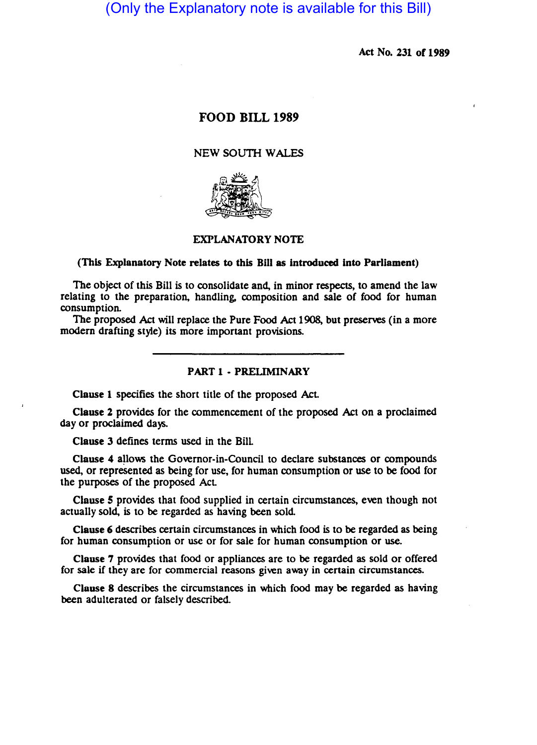(Only the Explanatory note is available for this Bill)

Act No. 231 of 1989

## FOOD BILL 1989

# NEW SOUTH WALES



# EXPLANATORY NOTE

#### (This Explanatory Note relates to this Bill as introduced into Parliament)

The object of this Bill is to consolidate and, in minor respects, to amend the law relating to the preparation, handling. composition and sale of food for human consumption.

The proposed Act will replace the Pure Food Act 1908, but preserves (in a more modern drafting style) its more important provisions.

### PART 1 - PRELIMINARY

Clause 1 specifies the short title of the proposed Act.

Clause 2 provides for the commencement of the proposed Act on a proclaimed day or proclaimed days.

Clause 3 defines terms used in the Bill

Clause 4 allows the Governor-in-Council to declare substances or compounds used, or represented as being for use, for human consumption or use to be food for the purposes of the proposed Act.

Clause 5 provides that food supplied in certain circumstances, even though not actually sold, is to be regarded as having been sold

Clause 6 describes certain circumstances in which food is to be regarded as being for human consumption or use or for sale for human consumption or use.

Clause 7 provides that food or appliances are to be regarded as sold or offered for sale if they are for commercial reasons given away in certain circumstances.

Clause 8 describes the circumstances in which food may be regarded as having been adulterated or falsely described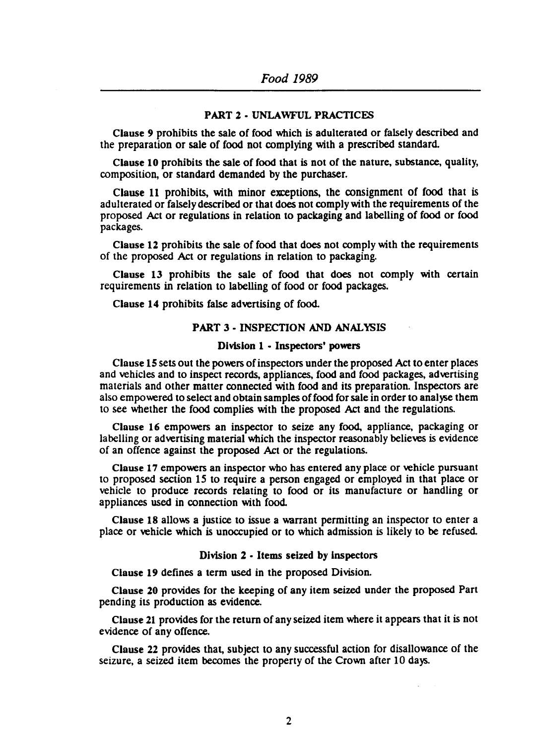### PART 2 • UNLAWFUL PRACTICES

Clause 9 prohibits the sale of food which is adulterated or falsely described and the preparation or sale of food not complying with a prescribed standard

Clause 10 prohibits the sale of food that is not of the nature, substance, quality, composition, or standard demanded by the purchaser.

Clause 11 prohibits, with minor exceptions, the consignment of food that is adulterated or falsely described or that does not comply with the requirements of the proposed Act or regulations in relation to packaging and labelling of food or food packages.

Clause 12 prohibits the sale of food that does not comply with the requirements of the proposed Act or regulations in relation to packaging.

Clause 13 prohibits the sale of food that does not comply with certain requirements in relation to labelling of food or food packages.

Clause 14 prohibits false advertising of food.

### PART 3· INSPECTION AND ANALYSIS

### Division 1 • Inspectors' powers

Clause *IS* sets out the powers ofinspectors under the proposed Act to enter places and vehicles and to inspect records, appliances, food and food packages, advertising materials and other matter connected with food and its preparation. Inspectors are also empowered to select and obtain samples of food for sale in order to analyse them to see whether the food complies with the proposed Act and the regulations.

Clause 16 empowers an inspector to seize any food. appliance, packaging or labelling or advertising material which the inspector reasonably believes is evidence of an offence against the proposed Act or the regulations.

Clause 17 empowers an inspector who has entered any place or vehicle pursuant to proposed section 15 to require a person engaged or employed in that place or vehicle to produce records relating to food or its manufacture or handling or appliances used in connection with food

Clause 18 allows a justice to issue a warrant permitting an inspector to enter a place or vehicle which is unoccupied or to which admission is likely to be refused.

### Division 2 • Items seized by inspectors

Clause 19 defines a term used in the proposed Division.

Clause 20 provides for the keeping of any item seized under the proposed Part pending its production as evidence.

Clause 21 provides for the return of any seized item where it appears that it is not evidence of any offence.

Clause 22 provides that, subject to any successful action for disallowance of the seizure, a seized item becomes the property of the Crown after 10 days.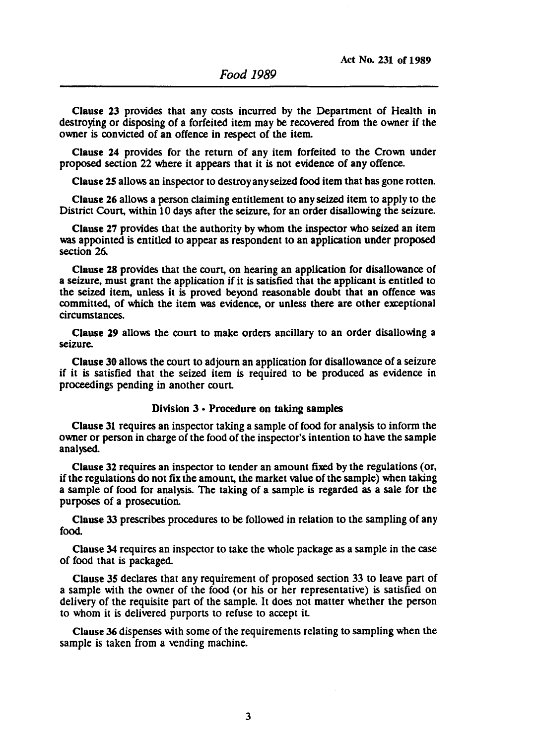Clause 23 provides that any costs incurred by the Depanment of Health in destroying or disposing of a forfeited item may be recovered from the owner if the owner is convicted of an offence in respect of the item.

Clause 24 provides for the return of any item forfeited to the Crown under proposed section 22 where it appears that it is not evidence of any offence.

Clause 25 allo\\5 an inspector to destroy any seized food item that has gone rotten.

Clause 26 allo\\5 a person claiming entitlement to any seized item to apply to the District Court, within 10 days after the seizure, for an order disallowing the seizure.

Clause 27 provides that the authority by whom the inspector who seized an item was appointed is entitled to appear as respondent to an application under proposed section 26.

Clause 28 provides that the court, on hearing an application for disallowance of a seizure, must grant the application if it is satisfied that the applicant is entitled to the seized item, unless it is proved beyond reasonable doubt that an offence was committed, of which the item was evidence, or unless there are other exceptional circumstances.

Clause 29 allows the court to make orders ancillary to an order disallowing a seizure.

Clause 30 allows the court to adjourn an application for disallowance of a seizure if it is satisfied that the seized item is required to be produced as evidence in proceedings pending in another court.

## Division 3 • Procedure on taking samples

Clause 31 requires an inspector taking a sample of food for analysis to inform the owner or person in charge of the food of the inspector's intention to have the sample analysed.

Clause 32 requires an inspector to tender an amount fixed by the regulations (or, if the regulations do not fix the amount, the market value of the sample) when taking a sample of food for analysis. The taking of a sample is regarded as a sale for the purposes of a prosecution.

Clause 33 prescribes procedures to be followed in relation to the sampling of any food.

Clause 34 requires an inspector to take the whole package as a sample in the case of food that is packaged

Clause 35 declares that any requirement of proposed section 33 to leave part of a sample with the owner of the food (or his or her representative) is satisfied on delivery of the requisite part of the sample. It does not matter whether the person to whom it is delivered purports to refuse to accept it

Clause 36 dispenses with some of the requirements relating to sampling when the sample is taken from a vending machine.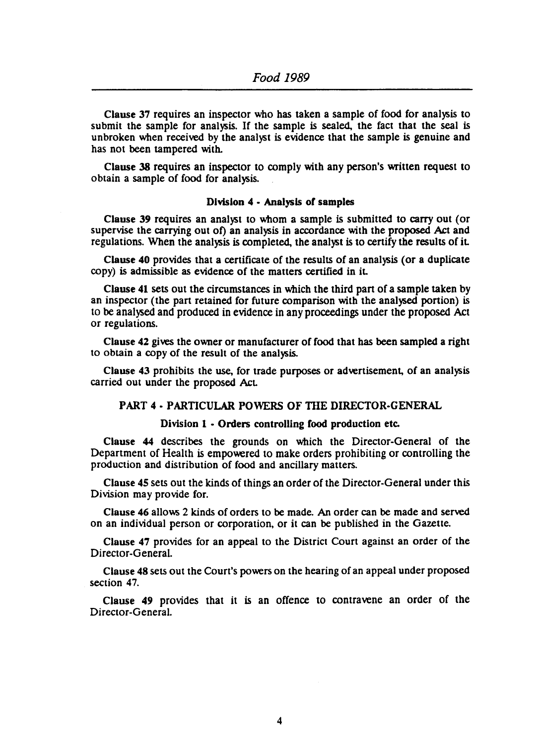Clause 37 requires an inspector who has taken a sample of food for analysis to submit the sample for analysis. If the sample is sealed. the fact that the seal is unbroken when received by the analyst is evidence that the sample is genuine and has not been tampered with.

Clause 38 requires an inspector to comply with any person's written request to obtain a sample of food for analysis.

#### Division 4 • Analysis of samples

Clause 39 requires an analyst to whom a sample is submitted to carry out (or supervise the carrying out of) an analysis in accordance with the proposed Act and regulations. When the analysis is completed. the analyst is to certify tbe results of it

Clause 40 provides that a certificate of the results of an analysis (or a duplicate copy) is admissible as evidence of the matters certified in it

Clause 41 sets out the circumstances in which the third part of a sample taken by an inspector (the part retained for future comparison with the analysed portion) is to be analysed and produced in evidence in any proceedings under the proposed Act or regulations.

Clause 42 gives the owner or manufacturer of food that has been sampled a right to obtain a copy of the result of the analysis.

Clause 43 prohibits the use, for trade purposes or advertisement, of an analysis carried out under the proposed Act

# PART 4 - PARTICULAR POWERS OF THE DIRECTOR-GENERAL

## Division 1 • Orders controlling food production etc.

Clause 44 describes the grounds on which the Director-General of the Department of Health is empowered to make orders prohibiting or controlling the production and distribution of food and ancillary matters.

Clause 4S sets out the kinds of things an order of the Director-General under this Division may provide for.

Clause 46 allows 2 kinds of orders to be made. An order can be made and served on an individual person or corporation, or it can be published in the Gazette.

Clause 47 provides for an appeal to the District Court against an order of the Director-General.

Clause 48 sets out the Court's powers on the hearing of an appeal under proposed section 47.

Clause 49 provides that it is an offence to contravene an order of the Director-General.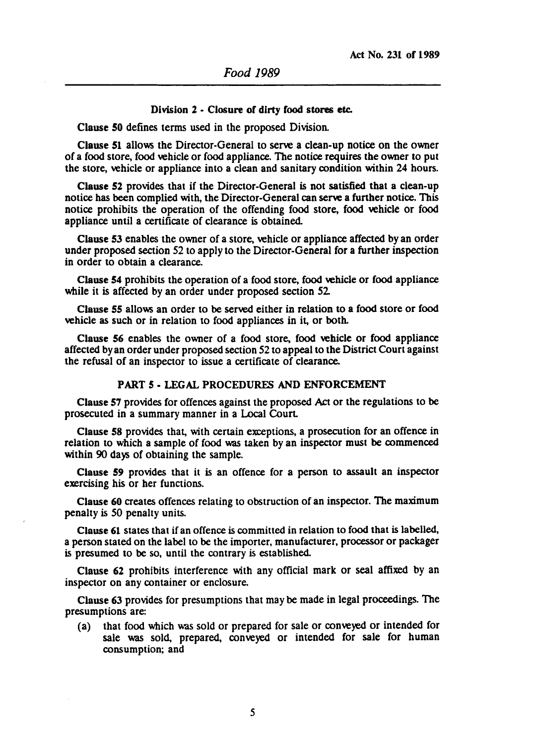#### Division 2 - Closure of dirty food stores etc.

Clause 50 defines terms used in the proposed Division.

Clause 51 allows the Director-General to serve a clean-up notice on the owner of a food store, food vehicle or food appliance. The notice requires the owner to put the store, vehicle or appliance into a clean and sanitary condition within 24 hours.

Clause 52 provides that if the Director-General is not satisfied that a clean-up notice has been complied with, the Director-General can serve a funher notice. This notice prohibits the operation of the offending food store, food vehicle or food appliance until a cenificate of clearance is obtained.

Clause 53 enables the owner of a store, vehicle or appliance affected by an order under proposed section 52 to apply to the Director-General for a further inspection in order to obtain a clearance.

Clause 54 prohibits the operation of a food store, food vehicle or food appliance while it is affected by an order under proposed section 52.

Clause 55 allows an order to be served either in relation to a food store or food vehicle as such or in relation to food appliances in it, or both.

Clause 56 enables the owner of a food store, food vehicle or food appliance affected by an order under proposed section 52 to appeal to the District Court against the refusal of an inspector to issue a certificate of clearance.

## PART 5 • LEGAL PROCEDURES AND ENFORCEMENT

Clause 57 provides for offences against the proposed Act or the regulations to be prosecuted in a summary manner in a Local Court.

Clause 58 provides that, with certain exceptions, a prosecution for an offence in relation to which a sample of food was taken by an inspector must be commenced within 90 days of obtaining the sample.

Clause 59 provides that it is an offence for a person to assault an inspector exercising his or her functions.

Clause 60 creates offences relating to obstruction of an inspector. The maximum penalty is 50 penalty units.

Clause 61 states that if an offence is committed in relation to food that is labelled, a person stated on the label to be the importer, manufacturer, processor or packager is presumed to be so, until the contrary is established.

Clause 62 prohibits interference with any official mark or seal affixed by an inspector on any container or enclosure.

Clause 63 provides for presumptions that may be made in legal proceedings. The presumptions are:

(a) that food which was sold or prepared for sale or conveyed or intended for sale was sold, prepared, conveyed or intended for sale for human consumption; and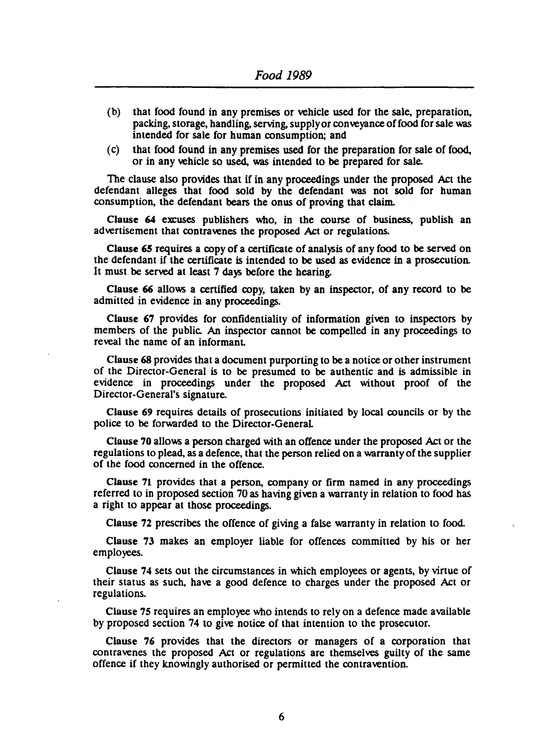- (b) that food found in any premises or vehicle used for the sale, preparation, packing, storage, handling, serving, supply or conveyance of food for sale was intended for sale for human consumption; and
- (c) that food found in any premises used for the preparation for sale of food, or in any vehicle so used, was intended to be prepared for sale.

The clause also provides that if in any proceedings under the proposed Act the defendant alleges that food sold by the defendant was not sold for human consumption, the defendant bears the onus of proving that claim.

Clause 64 excuses publishers who, in the course of business, publish an advertisement that contravenes the proposed Act or regulations.

Clause 65 requires a copy of a cenificate of analysis of any food to be served on the defendant if the cenificate is intended to be used as evidence in a prosecution. It must be served at least 7 days before the hearing.

Clause 66 allows a cenified copy, taken by an inspector, of any record to be admitted in evidence in any proceedings.

Clause 67 provides for confidentiality of information given to inspectors by members of the public. An inspector cannot be compelled in any proceedings to reveal the name of an informanL

Clause 68 provides that a document purponing to be a notice or other instrument of the Director-General is to be presumed to be authentic and is admissible in evidence in proceedings under the proposed Act without proof of the Director-General's signature.

Clause 69 requires details of prosecutions initiated by local councils or by the police to be forwarded to the Director-General

Clause 70 allows a person charged with an offence under the proposed Act or the regulations to plead, as a defence, that the person relied on a warranty of the supplier of the food concerned in the offence.

Clause 71 provides that a person, company or firm named in any proceedings referred to in proposed section 70 as having given a warranty in relation to food has a right to appear at those proceedings.

Clause 72 prescribes the offence of giving a false warranty in relation to food.

Clause 73 makes an employer liable for offences committed by his or her employees.

Clause 74 sets out the circumstances in which employees or agents, by virtue of their status as such, have a good defence to charges under the proposed Act or regulations.

Clause 7S requires an employee who intends to rely on a defence made available by proposed section 74 to give notice of that intention to the prosecutor.

Clause 76 provides that the directors or managers of a corporation that contravenes the proposed Act or regulations are themselves guilty of the same offence if they knOwingly authorised or permitted the contravention.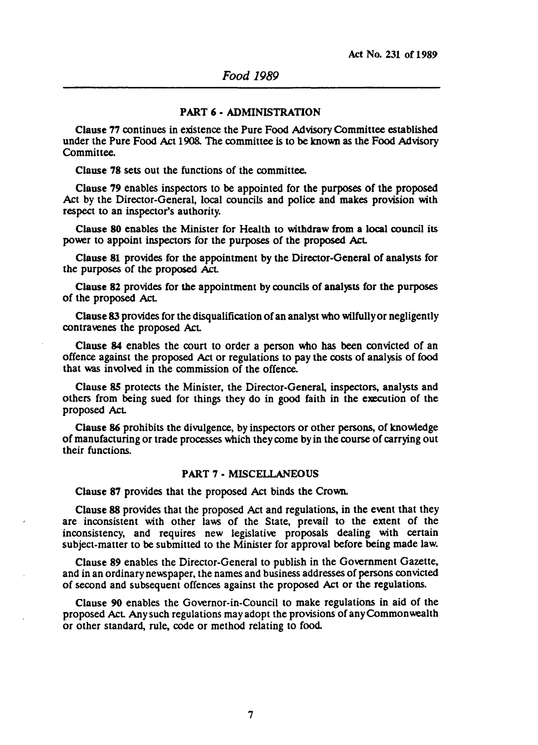### PART 6· ADMINISTRATION

Clause 77 continues in existence the Pure Food Advisory Committee established under the Pure Food Act 1908. The committee is to be known as the Food Advisory Committee.

Clause 78 sets out the functions of the committee.

Clause 79 enables inspectors to be appointed for the purposes of the proposed Act by the Director-General, local councils and police and makes provision with respect to an inspector's authority.

Clause 80 enables the Minister for Health to withdraw from a local council its power to appoint inspectors for the purposes of the proposed Act.

Clause 81 provides for the appointment by the Director-General of analysts for the purposes of the proposed Act.

Clause 82 provides for the appointment by councils of analysts for the purposes of the proposed Act.

Clause 83 provides for the disqualification of an analyst who wilfully or negligently contravenes the proposed Act

Clause 84 enables the court to order a person who has been convicted of an offence against the proposed Act or regulations to pay the costs of analysis of food that was involved in the commission of the offence.

Clause SS protects the Minister, the Director-General. inspectors. analysts and others from being sued for things they do in good faith in the execution of the proposed Act

Clause 86 prohibits the divulgence, by inspectors or other persons, of knowledge of manufacturing or trade processes which they come by in the course of carrying out their functions.

#### PART 7 • MISCELLANEOUS

Clause 87 provides that the proposed Act binds the Crown.

Clause 88 provides that the proposed Act and regulations, in the event that they are inconsistent with other laws of the State, prevail to the extent of the inconsistency, and requires new legislative proposals dealing with certain subject-matter to be submitted to the Minister for approval before being made law.

Clause 89 enables the Director-General to publish in the Government Gazette, and in an ordinary newspaper, the names and business addresses of persons convicted of second and subsequent offences against the proposed Act or the regulations.

Clause 90 enables the Governor-in-Council to make regulations in aid of the proposed Act Any such regulations may adopt the provisions of any Commonwealth or other standard, rule, code or method relating to food.